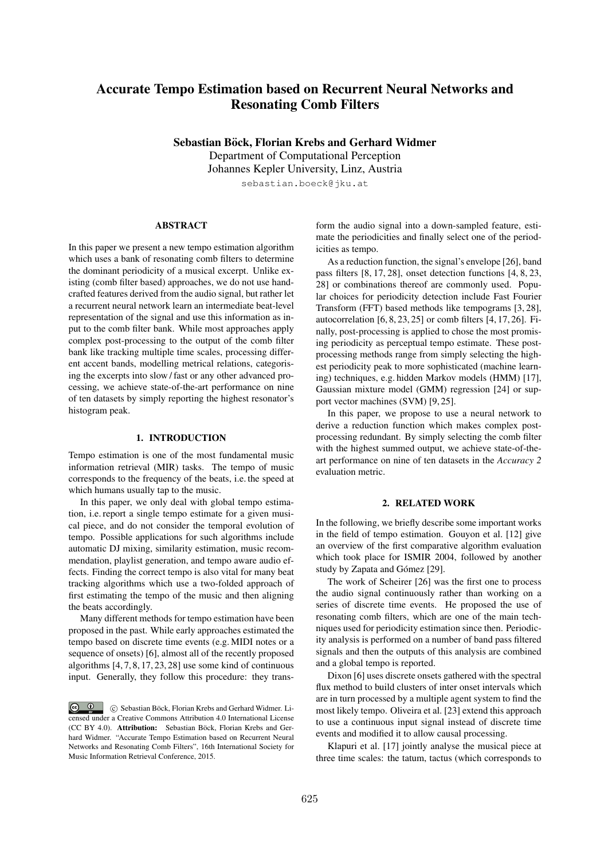# Accurate Tempo Estimation based on Recurrent Neural Networks and Resonating Comb Filters

Sebastian Böck, Florian Krebs and Gerhard Widmer

Department of Computational Perception Johannes Kepler University, Linz, Austria sebastian.boeck@jku.at

#### ABSTRACT

In this paper we present a new tempo estimation algorithm which uses a bank of resonating comb filters to determine the dominant periodicity of a musical excerpt. Unlike existing (comb filter based) approaches, we do not use handcrafted features derived from the audio signal, but rather let a recurrent neural network learn an intermediate beat-level representation of the signal and use this information as input to the comb filter bank. While most approaches apply complex post-processing to the output of the comb filter bank like tracking multiple time scales, processing different accent bands, modelling metrical relations, categorising the excerpts into slow / fast or any other advanced processing, we achieve state-of-the-art performance on nine of ten datasets by simply reporting the highest resonator's histogram peak.

#### 1. INTRODUCTION

Tempo estimation is one of the most fundamental music information retrieval (MIR) tasks. The tempo of music corresponds to the frequency of the beats, i.e. the speed at which humans usually tap to the music.

In this paper, we only deal with global tempo estimation, i.e. report a single tempo estimate for a given musical piece, and do not consider the temporal evolution of tempo. Possible applications for such algorithms include automatic DJ mixing, similarity estimation, music recommendation, playlist generation, and tempo aware audio effects. Finding the correct tempo is also vital for many beat tracking algorithms which use a two-folded approach of first estimating the tempo of the music and then aligning the beats accordingly.

Many different methods for tempo estimation have been proposed in the past. While early approaches estimated the tempo based on discrete time events (e.g. MIDI notes or a sequence of onsets) [6], almost all of the recently proposed algorithms [4, 7, 8, 17, 23, 28] use some kind of continuous input. Generally, they follow this procedure: they transform the audio signal into a down-sampled feature, estimate the periodicities and finally select one of the periodicities as tempo.

As a reduction function, the signal's envelope [26], band pass filters [8, 17, 28], onset detection functions [4, 8, 23, 28] or combinations thereof are commonly used. Popular choices for periodicity detection include Fast Fourier Transform (FFT) based methods like tempograms [3, 28], autocorrelation [6, 8, 23, 25] or comb filters [4, 17, 26]. Finally, post-processing is applied to chose the most promising periodicity as perceptual tempo estimate. These postprocessing methods range from simply selecting the highest periodicity peak to more sophisticated (machine learning) techniques, e.g. hidden Markov models (HMM) [17], Gaussian mixture model (GMM) regression [24] or support vector machines (SVM) [9, 25].

In this paper, we propose to use a neural network to derive a reduction function which makes complex postprocessing redundant. By simply selecting the comb filter with the highest summed output, we achieve state-of-theart performance on nine of ten datasets in the *Accuracy 2* evaluation metric.

# 2. RELATED WORK

In the following, we briefly describe some important works in the field of tempo estimation. Gouyon et al. [12] give an overview of the first comparative algorithm evaluation which took place for ISMIR 2004, followed by another study by Zapata and Gómez [29].

The work of Scheirer [26] was the first one to process the audio signal continuously rather than working on a series of discrete time events. He proposed the use of resonating comb filters, which are one of the main techniques used for periodicity estimation since then. Periodicity analysis is performed on a number of band pass filtered signals and then the outputs of this analysis are combined and a global tempo is reported.

Dixon [6] uses discrete onsets gathered with the spectral flux method to build clusters of inter onset intervals which are in turn processed by a multiple agent system to find the most likely tempo. Oliveira et al. [23] extend this approach to use a continuous input signal instead of discrete time events and modified it to allow causal processing.

Klapuri et al. [17] jointly analyse the musical piece at three time scales: the tatum, tactus (which corresponds to

 $\circ$   $\circ$ c Sebastian Bock, Florian Krebs and Gerhard Widmer. Li- ¨ censed under a Creative Commons Attribution 4.0 International License (CC BY 4.0). Attribution: Sebastian Böck, Florian Krebs and Gerhard Widmer. "Accurate Tempo Estimation based on Recurrent Neural Networks and Resonating Comb Filters", 16th International Society for Music Information Retrieval Conference, 2015.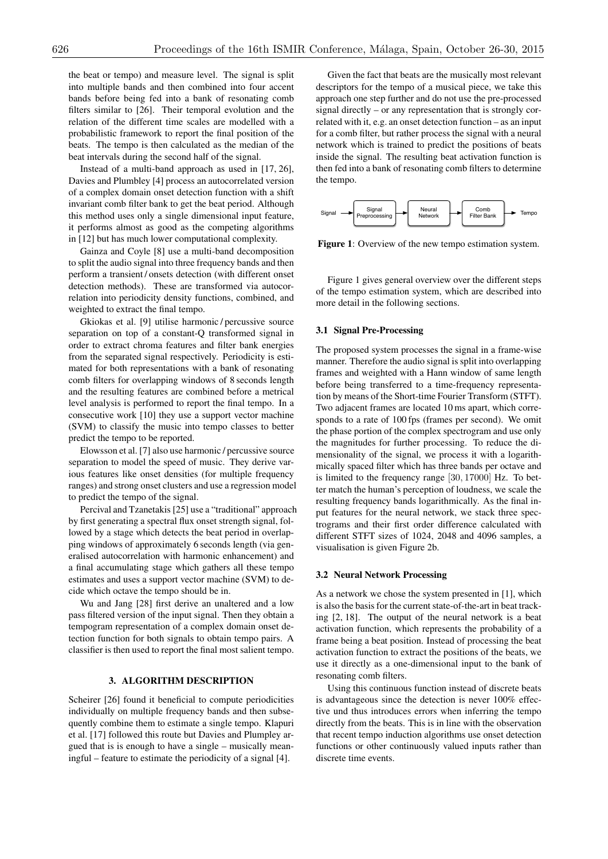the beat or tempo) and measure level. The signal is split into multiple bands and then combined into four accent bands before being fed into a bank of resonating comb filters similar to [26]. Their temporal evolution and the relation of the different time scales are modelled with a probabilistic framework to report the final position of the beats. The tempo is then calculated as the median of the beat intervals during the second half of the signal.

Instead of a multi-band approach as used in [17, 26], Davies and Plumbley [4] process an autocorrelated version of a complex domain onset detection function with a shift invariant comb filter bank to get the beat period. Although this method uses only a single dimensional input feature, it performs almost as good as the competing algorithms in [12] but has much lower computational complexity.

Gainza and Coyle [8] use a multi-band decomposition to split the audio signal into three frequency bands and then perform a transient / onsets detection (with different onset detection methods). These are transformed via autocorrelation into periodicity density functions, combined, and weighted to extract the final tempo.

Gkiokas et al. [9] utilise harmonic / percussive source separation on top of a constant-Q transformed signal in order to extract chroma features and filter bank energies from the separated signal respectively. Periodicity is estimated for both representations with a bank of resonating comb filters for overlapping windows of 8 seconds length and the resulting features are combined before a metrical level analysis is performed to report the final tempo. In a consecutive work [10] they use a support vector machine (SVM) to classify the music into tempo classes to better predict the tempo to be reported.

Elowsson et al. [7] also use harmonic / percussive source separation to model the speed of music. They derive various features like onset densities (for multiple frequency ranges) and strong onset clusters and use a regression model to predict the tempo of the signal.

Percival and Tzanetakis [25] use a "traditional" approach by first generating a spectral flux onset strength signal, followed by a stage which detects the beat period in overlapping windows of approximately 6 seconds length (via generalised autocorrelation with harmonic enhancement) and a final accumulating stage which gathers all these tempo estimates and uses a support vector machine (SVM) to decide which octave the tempo should be in.

Wu and Jang [28] first derive an unaltered and a low pass filtered version of the input signal. Then they obtain a tempogram representation of a complex domain onset detection function for both signals to obtain tempo pairs. A classifier is then used to report the final most salient tempo.

# 3. ALGORITHM DESCRIPTION

Scheirer [26] found it beneficial to compute periodicities individually on multiple frequency bands and then subsequently combine them to estimate a single tempo. Klapuri et al. [17] followed this route but Davies and Plumpley argued that is is enough to have a single – musically meaningful – feature to estimate the periodicity of a signal [4].

Given the fact that beats are the musically most relevant descriptors for the tempo of a musical piece, we take this approach one step further and do not use the pre-processed signal directly – or any representation that is strongly correlated with it, e.g. an onset detection function – as an input for a comb filter, but rather process the signal with a neural network which is trained to predict the positions of beats inside the signal. The resulting beat activation function is then fed into a bank of resonating comb filters to determine the tempo.



Figure 1: Overview of the new tempo estimation system.

Figure 1 gives general overview over the different steps of the tempo estimation system, which are described into more detail in the following sections.

# 3.1 Signal Pre-Processing

The proposed system processes the signal in a frame-wise manner. Therefore the audio signal is split into overlapping frames and weighted with a Hann window of same length before being transferred to a time-frequency representation by means of the Short-time Fourier Transform (STFT). Two adjacent frames are located 10 ms apart, which corresponds to a rate of 100 fps (frames per second). We omit the phase portion of the complex spectrogram and use only the magnitudes for further processing. To reduce the dimensionality of the signal, we process it with a logarithmically spaced filter which has three bands per octave and is limited to the frequency range [30*,* 17000] Hz. To better match the human's perception of loudness, we scale the resulting frequency bands logarithmically. As the final input features for the neural network, we stack three spectrograms and their first order difference calculated with different STFT sizes of 1024, 2048 and 4096 samples, a visualisation is given Figure 2b.

## 3.2 Neural Network Processing

As a network we chose the system presented in [1], which is also the basis for the current state-of-the-art in beat tracking [2, 18]. The output of the neural network is a beat activation function, which represents the probability of a frame being a beat position. Instead of processing the beat activation function to extract the positions of the beats, we use it directly as a one-dimensional input to the bank of resonating comb filters.

Using this continuous function instead of discrete beats is advantageous since the detection is never 100% effective und thus introduces errors when inferring the tempo directly from the beats. This is in line with the observation that recent tempo induction algorithms use onset detection functions or other continuously valued inputs rather than discrete time events.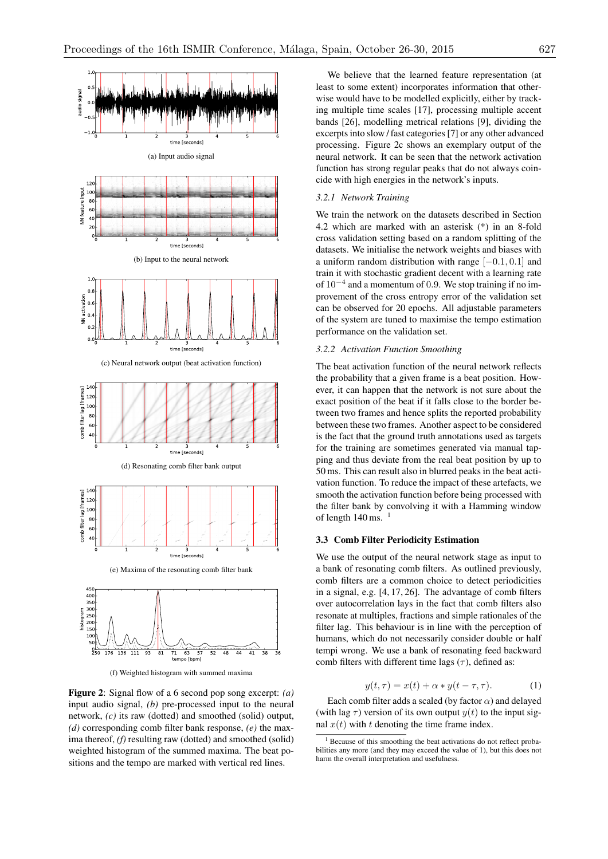



(f) Weighted histogram with summed maxima

Figure 2: Signal flow of a 6 second pop song excerpt: *(a)* input audio signal, *(b)* pre-processed input to the neural network, *(c)* its raw (dotted) and smoothed (solid) output, *(d)* corresponding comb filter bank response, *(e)* the maxima thereof, *(f)* resulting raw (dotted) and smoothed (solid) weighted histogram of the summed maxima. The beat positions and the tempo are marked with vertical red lines.

We believe that the learned feature representation (at least to some extent) incorporates information that otherwise would have to be modelled explicitly, either by tracking multiple time scales [17], processing multiple accent bands [26], modelling metrical relations [9], dividing the excerpts into slow / fast categories [7] or any other advanced processing. Figure 2c shows an exemplary output of the neural network. It can be seen that the network activation function has strong regular peaks that do not always coincide with high energies in the network's inputs.

# *3.2.1 Network Training*

We train the network on the datasets described in Section 4.2 which are marked with an asterisk (\*) in an 8-fold cross validation setting based on a random splitting of the datasets. We initialise the network weights and biases with a uniform random distribution with range  $[-0.1, 0.1]$  and train it with stochastic gradient decent with a learning rate of  $10^{-4}$  and a momentum of 0.9. We stop training if no improvement of the cross entropy error of the validation set can be observed for 20 epochs. All adjustable parameters of the system are tuned to maximise the tempo estimation performance on the validation set.

#### *3.2.2 Activation Function Smoothing*

The beat activation function of the neural network reflects the probability that a given frame is a beat position. However, it can happen that the network is not sure about the exact position of the beat if it falls close to the border between two frames and hence splits the reported probability between these two frames. Another aspect to be considered is the fact that the ground truth annotations used as targets for the training are sometimes generated via manual tapping and thus deviate from the real beat position by up to 50 ms. This can result also in blurred peaks in the beat activation function. To reduce the impact of these artefacts, we smooth the activation function before being processed with the filter bank by convolving it with a Hamming window of length  $140 \text{ ms}$ . <sup>1</sup>

## 3.3 Comb Filter Periodicity Estimation

We use the output of the neural network stage as input to a bank of resonating comb filters. As outlined previously, comb filters are a common choice to detect periodicities in a signal, e.g. [4, 17, 26]. The advantage of comb filters over autocorrelation lays in the fact that comb filters also resonate at multiples, fractions and simple rationales of the filter lag. This behaviour is in line with the perception of humans, which do not necessarily consider double or half tempi wrong. We use a bank of resonating feed backward comb filters with different time lags  $(\tau)$ , defined as:

$$
y(t, \tau) = x(t) + \alpha * y(t - \tau, \tau). \tag{1}
$$

Each comb filter adds a scaled (by factor  $\alpha$ ) and delayed (with lag  $\tau$ ) version of its own output  $y(t)$  to the input signal  $x(t)$  with  $t$  denoting the time frame index.

<sup>&</sup>lt;sup>1</sup> Because of this smoothing the beat activations do not reflect probabilities any more (and they may exceed the value of 1), but this does not harm the overall interpretation and usefulness.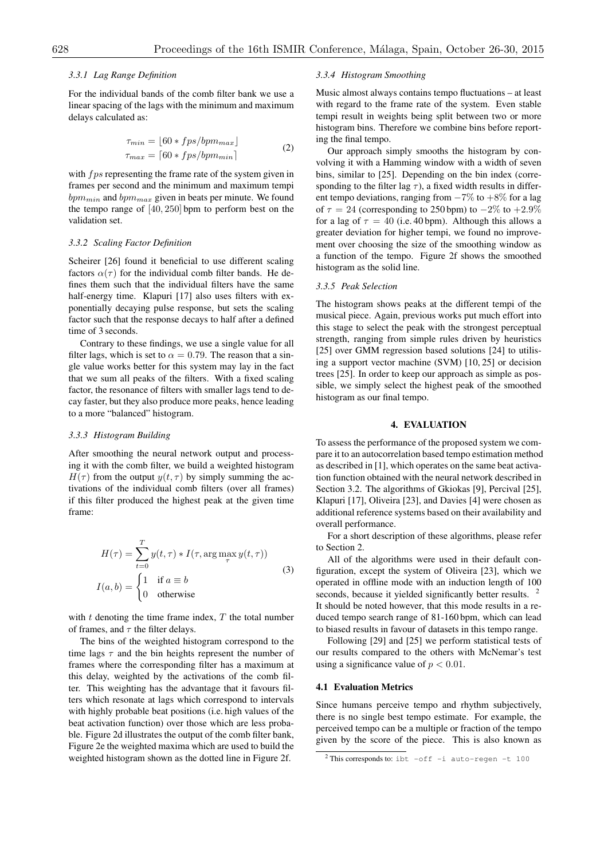## *3.3.1 Lag Range Definition*

For the individual bands of the comb filter bank we use a linear spacing of the lags with the minimum and maximum delays calculated as:

$$
\tau_{min} = \lfloor 60 * fps/bpm_{max} \rfloor
$$
  
\n
$$
\tau_{max} = \lceil 60 * fps/bpm_{min} \rceil
$$
\n(2)

with *f ps* representing the frame rate of the system given in frames per second and the minimum and maximum tempi *bpmmin* and *bpmmax* given in beats per minute. We found the tempo range of [40*,* 250] bpm to perform best on the validation set.

#### *3.3.2 Scaling Factor Definition*

Scheirer [26] found it beneficial to use different scaling factors  $\alpha(\tau)$  for the individual comb filter bands. He defines them such that the individual filters have the same half-energy time. Klapuri [17] also uses filters with exponentially decaying pulse response, but sets the scaling factor such that the response decays to half after a defined time of 3 seconds.

Contrary to these findings, we use a single value for all filter lags, which is set to  $\alpha = 0.79$ . The reason that a single value works better for this system may lay in the fact that we sum all peaks of the filters. With a fixed scaling factor, the resonance of filters with smaller lags tend to decay faster, but they also produce more peaks, hence leading to a more "balanced" histogram.

#### *3.3.3 Histogram Building*

After smoothing the neural network output and processing it with the comb filter, we build a weighted histogram  $H(\tau)$  from the output  $y(t, \tau)$  by simply summing the activations of the individual comb filters (over all frames) if this filter produced the highest peak at the given time frame:

$$
H(\tau) = \sum_{t=0}^{T} y(t, \tau) * I(\tau, \arg \max_{\tau} y(t, \tau))
$$
  
\n
$$
I(a, b) = \begin{cases} 1 & \text{if } a \equiv b \\ 0 & \text{otherwise} \end{cases}
$$
 (3)

with *t* denoting the time frame index, *T* the total number of frames, and  $\tau$  the filter delays.

The bins of the weighted histogram correspond to the time lags  $\tau$  and the bin heights represent the number of frames where the corresponding filter has a maximum at this delay, weighted by the activations of the comb filter. This weighting has the advantage that it favours filters which resonate at lags which correspond to intervals with highly probable beat positions (i.e. high values of the beat activation function) over those which are less probable. Figure 2d illustrates the output of the comb filter bank, Figure 2e the weighted maxima which are used to build the weighted histogram shown as the dotted line in Figure 2f.

## *3.3.4 Histogram Smoothing*

Music almost always contains tempo fluctuations – at least with regard to the frame rate of the system. Even stable tempi result in weights being split between two or more histogram bins. Therefore we combine bins before reporting the final tempo.

Our approach simply smooths the histogram by convolving it with a Hamming window with a width of seven bins, similar to [25]. Depending on the bin index (corresponding to the filter lag  $\tau$ ), a fixed width results in different tempo deviations, ranging from  $-7\%$  to  $+8\%$  for a lag of  $\tau = 24$  (corresponding to 250 bpm) to  $-2\%$  to  $+2.9\%$ for a lag of  $\tau = 40$  (i.e. 40 bpm). Although this allows a greater deviation for higher tempi, we found no improvement over choosing the size of the smoothing window as a function of the tempo. Figure 2f shows the smoothed histogram as the solid line.

# *3.3.5 Peak Selection*

The histogram shows peaks at the different tempi of the musical piece. Again, previous works put much effort into this stage to select the peak with the strongest perceptual strength, ranging from simple rules driven by heuristics [25] over GMM regression based solutions [24] to utilising a support vector machine (SVM) [10, 25] or decision trees [25]. In order to keep our approach as simple as possible, we simply select the highest peak of the smoothed histogram as our final tempo.

# 4. EVALUATION

To assess the performance of the proposed system we compare it to an autocorrelation based tempo estimation method as described in [1], which operates on the same beat activation function obtained with the neural network described in Section 3.2. The algorithms of Gkiokas [9], Percival [25], Klapuri [17], Oliveira [23], and Davies [4] were chosen as additional reference systems based on their availability and overall performance.

For a short description of these algorithms, please refer to Section 2.

All of the algorithms were used in their default configuration, except the system of Oliveira [23], which we operated in offline mode with an induction length of 100 seconds, because it yielded significantly better results. <sup>2</sup> It should be noted however, that this mode results in a reduced tempo search range of 81-160 bpm, which can lead to biased results in favour of datasets in this tempo range.

Following [29] and [25] we perform statistical tests of our results compared to the others with McNemar's test using a significance value of  $p < 0.01$ .

## 4.1 Evaluation Metrics

Since humans perceive tempo and rhythm subjectively, there is no single best tempo estimate. For example, the perceived tempo can be a multiple or fraction of the tempo given by the score of the piece. This is also known as

 $2$  This corresponds to: ibt  $-\text{off}$  -i auto-regen -t 100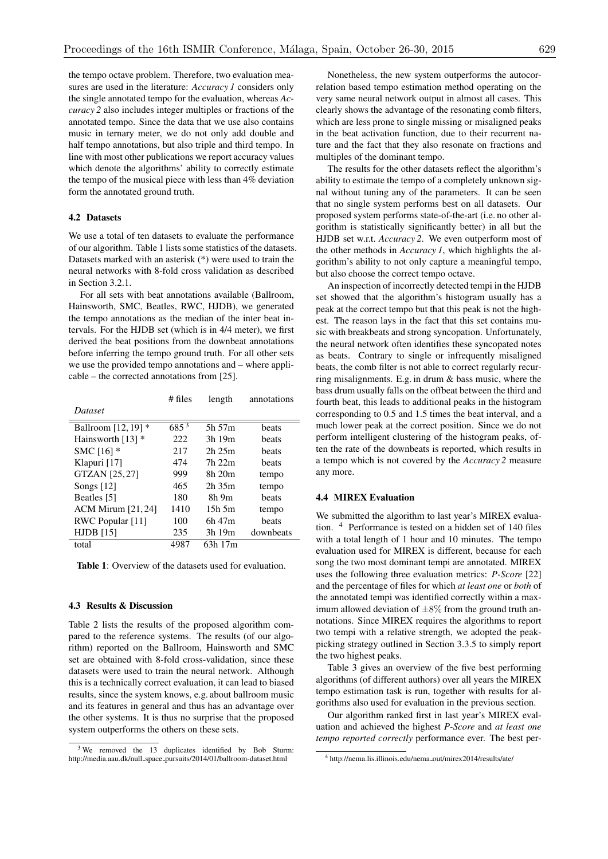the tempo octave problem. Therefore, two evaluation measures are used in the literature: *Accuracy 1* considers only the single annotated tempo for the evaluation, whereas *Accuracy 2* also includes integer multiples or fractions of the annotated tempo. Since the data that we use also contains music in ternary meter, we do not only add double and half tempo annotations, but also triple and third tempo. In line with most other publications we report accuracy values which denote the algorithms' ability to correctly estimate the tempo of the musical piece with less than 4% deviation form the annotated ground truth.

# 4.2 Datasets

We use a total of ten datasets to evaluate the performance of our algorithm. Table 1 lists some statistics of the datasets. Datasets marked with an asterisk (\*) were used to train the neural networks with 8-fold cross validation as described in Section 3.2.1.

For all sets with beat annotations available (Ballroom, Hainsworth, SMC, Beatles, RWC, HJDB), we generated the tempo annotations as the median of the inter beat intervals. For the HJDB set (which is in 4/4 meter), we first derived the beat positions from the downbeat annotations before inferring the tempo ground truth. For all other sets we use the provided tempo annotations and – where applicable – the corrected annotations from [25].

|                           | $#$ files | length      | annotations |
|---------------------------|-----------|-------------|-------------|
| Dataset                   |           |             |             |
| Ballroom [12, 19] *       | $685^{3}$ | 5h 57m      | beats       |
| Hainsworth $[13]$ *       | 222       | 3h 19m      | beats       |
| SMC [16] *                | 217       | 2h 25m      | beats       |
| Klapuri [17]              | 474       | 7h 22m      | beats       |
| GTZAN [25,27]             | 999       | 8h 20m      | tempo       |
| Songs $[12]$              | 465       | $2h$ 35 $m$ | tempo       |
| Beatles [5]               | 180       | 8h 9m       | beats       |
| <b>ACM Mirum [21, 24]</b> | 1410      | $15h$ 5m    | tempo       |
| RWC Popular [11]          | 100       | 6h 47m      | beats       |
| $HJDB$ [15]               | 235       | 3h 19m      | downbeats   |
| total                     | 4987      | 63h 17m     |             |
|                           |           |             |             |

Table 1: Overview of the datasets used for evaluation.

#### 4.3 Results & Discussion

Table 2 lists the results of the proposed algorithm compared to the reference systems. The results (of our algorithm) reported on the Ballroom, Hainsworth and SMC set are obtained with 8-fold cross-validation, since these datasets were used to train the neural network. Although this is a technically correct evaluation, it can lead to biased results, since the system knows, e.g. about ballroom music and its features in general and thus has an advantage over the other systems. It is thus no surprise that the proposed system outperforms the others on these sets.

Nonetheless, the new system outperforms the autocorrelation based tempo estimation method operating on the very same neural network output in almost all cases. This clearly shows the advantage of the resonating comb filters, which are less prone to single missing or misaligned peaks in the beat activation function, due to their recurrent nature and the fact that they also resonate on fractions and multiples of the dominant tempo.

The results for the other datasets reflect the algorithm's ability to estimate the tempo of a completely unknown signal without tuning any of the parameters. It can be seen that no single system performs best on all datasets. Our proposed system performs state-of-the-art (i.e. no other algorithm is statistically significantly better) in all but the HJDB set w.r.t. *Accuracy 2*. We even outperform most of the other methods in *Accuracy 1*, which highlights the algorithm's ability to not only capture a meaningful tempo, but also choose the correct tempo octave.

An inspection of incorrectly detected tempi in the HJDB set showed that the algorithm's histogram usually has a peak at the correct tempo but that this peak is not the highest. The reason lays in the fact that this set contains music with breakbeats and strong syncopation. Unfortunately, the neural network often identifies these syncopated notes as beats. Contrary to single or infrequently misaligned beats, the comb filter is not able to correct regularly recurring misalignments. E.g. in drum & bass music, where the bass drum usually falls on the offbeat between the third and fourth beat, this leads to additional peaks in the histogram corresponding to 0.5 and 1.5 times the beat interval, and a much lower peak at the correct position. Since we do not perform intelligent clustering of the histogram peaks, often the rate of the downbeats is reported, which results in a tempo which is not covered by the *Accuracy 2* measure any more.

# 4.4 MIREX Evaluation

We submitted the algorithm to last year's MIREX evaluation. <sup>4</sup> Performance is tested on a hidden set of 140 files with a total length of 1 hour and 10 minutes. The tempo evaluation used for MIREX is different, because for each song the two most dominant tempi are annotated. MIREX uses the following three evaluation metrics: *P-Score* [22] and the percentage of files for which *at least one* or *both* of the annotated tempi was identified correctly within a maximum allowed deviation of *±*8% from the ground truth annotations. Since MIREX requires the algorithms to report two tempi with a relative strength, we adopted the peakpicking strategy outlined in Section 3.3.5 to simply report the two highest peaks.

Table 3 gives an overview of the five best performing algorithms (of different authors) over all years the MIREX tempo estimation task is run, together with results for algorithms also used for evaluation in the previous section.

Our algorithm ranked first in last year's MIREX evaluation and achieved the highest *P-Score* and *at least one tempo reported correctly* performance ever. The best per-

 $3$  We removed the 13 duplicates identified by Bob Sturm: http://media.aau.dk/null space pursuits/2014/01/ballroom-dataset.html

<sup>4</sup> http://nema.lis.illinois.edu/nema out/mirex2014/results/ate/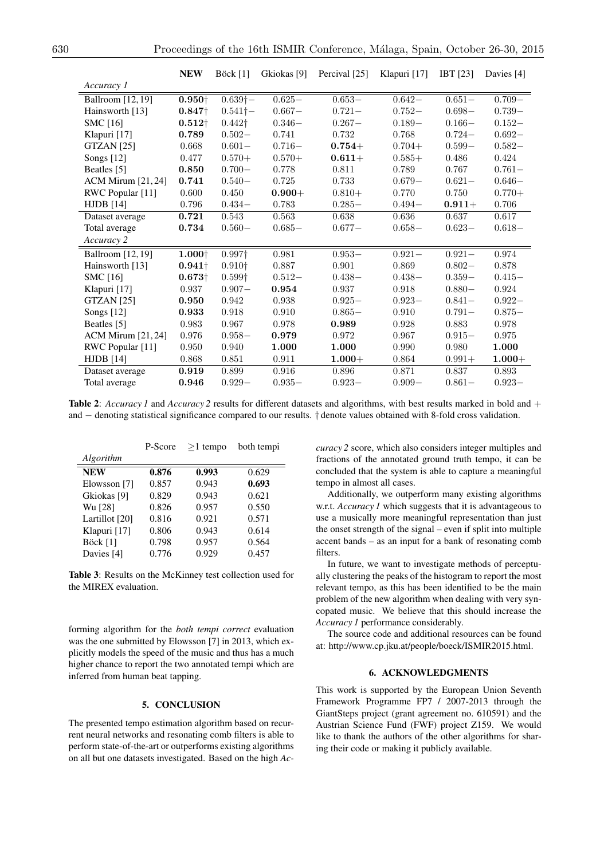|                           | <b>NEW</b>     | Böck $[1]$         | Gkiokas [9] | Percival [25] | Klapuri [17] | IBT $[23]$                             | Davies [4] |
|---------------------------|----------------|--------------------|-------------|---------------|--------------|----------------------------------------|------------|
| Accuracy 1                |                |                    |             |               |              |                                        |            |
| Ballroom [12, 19]         | $0.950\dagger$ | $0.639\dagger-$    | $0.625-$    | $0.653-$      | $0.642-$     | $0.651-$                               | $0.709 -$  |
| Hainsworth [13]           | $0.847\dagger$ | $0.541\dagger-$    | $0.667 -$   | $0.721 -$     | $0.752 -$    | $0.698 -$                              | $0.739-$   |
| SMC $[16]$                | $0.512\dagger$ | $0.442\dagger$     | $0.346-$    | $0.267-$      | $0.189-$     | $0.166\hspace{-0.5mm}-\hspace{-0.5mm}$ | $0.152 -$  |
| Klapuri [17]              | 0.789          | $0.502 -$          | 0.741       | 0.732         | 0.768        | $0.724 -$                              | $0.692 -$  |
| <b>GTZAN</b> [25]         | 0.668          | $0.601 -$          | $0.716 -$   | $0.754 +$     | $0.704+$     | $0.599-$                               | $0.582-$   |
| Songs [12]                | 0.477          | $0.570+$           | $0.570+$    | $0.611 +$     | $0.585+$     | 0.486                                  | 0.424      |
| Beatles [5]               | 0.850          | $0.700 -$          | 0.778       | 0.811         | 0.789        | 0.767                                  | $0.761 -$  |
| $ACM$ Mirum $[21, 24]$    | 0.741          | $0.540-$           | 0.725       | 0.733         | $0.679-$     | $0.621 -$                              | $0.646-$   |
| RWC Popular [11]          | 0.600          | 0.450              | $0.900 +$   | $0.810+$      | 0.770        | 0.750                                  | $0.770+$   |
| $HJDB$ [14]               | 0.796          | $0.434-$           | 0.783       | $0.285 -$     | $0.494 -$    | $0.911 +$                              | 0.706      |
| Dataset average           | 0.721          | 0.543              | 0.563       | 0.638         | 0.636        | 0.637                                  | 0.617      |
| Total average             | 0.734          | $0.560-$           | $0.685-$    | $0.677-$      | $0.658-$     | $0.623 -$                              | $0.618 -$  |
| Accuracy 2                |                |                    |             |               |              |                                        |            |
| <b>Ballroom</b> [12, 19]  | $1.000\dagger$ | 0.997 <sup>†</sup> | 0.981       | $0.953-$      | $0.921 -$    | $0.921 -$                              | 0.974      |
| Hainsworth [13]           | $0.941\dagger$ | 0.910 <sup>†</sup> | 0.887       | 0.901         | 0.869        | $0.802 -$                              | 0.878      |
| SMC $[16]$                | $0.673\dagger$ | $0.599\dagger$     | $0.512-$    | $0.438 -$     | $0.438 -$    | $0.359-$                               | $0.415 -$  |
| Klapuri [17]              | 0.937          | $0.907 -$          | 0.954       | 0.937         | 0.918        | $0.880-$                               | 0.924      |
| GTZAN [25]                | 0.950          | 0.942              | 0.938       | $0.925 -$     | $0.923 -$    | $0.841 -$                              | $0.922 -$  |
| Songs [12]                | 0.933          | 0.918              | 0.910       | $0.865 -$     | 0.910        | $0.791 -$                              | $0.875 -$  |
| Beatles [5]               | 0.983          | 0.967              | 0.978       | 0.989         | 0.928        | 0.883                                  | 0.978      |
| <b>ACM Mirum</b> [21, 24] | 0.976          | $0.958-$           | 0.979       | 0.972         | 0.967        | $0.915 -$                              | 0.975      |
| RWC Popular [11]          | 0.950          | 0.940              | 1.000       | 1.000         | 0.990        | 0.980                                  | 1.000      |
| <b>HJDB</b> [14]          | 0.868          | 0.851              | 0.911       | $1.000 +$     | 0.864        | $0.991 +$                              | $1.000 +$  |
| Dataset average           | 0.919          | 0.899              | 0.916       | 0.896         | 0.871        | 0.837                                  | 0.893      |
| Total average             | 0.946          | $0.929-$           | $0.935 -$   | $0.923 -$     | $0.909 -$    | $0.861 -$                              | $0.923 -$  |

**Table 2:** *Accuracy 1* and *Accuracy 2* results for different datasets and algorithms, with best results marked in bold and + and  $-$  denoting statistical significance compared to our results.  $\dagger$  denote values obtained with 8-fold cross validation.

|                | P-Score | $>1$ tempo | both tempi |  |
|----------------|---------|------------|------------|--|
| Algorithm      |         |            |            |  |
| <b>NEW</b>     | 0.876   | 0.993      | 0.629      |  |
| Elowsson [7]   | 0.857   | 0.943      | 0.693      |  |
| Gkiokas [9]    | 0.829   | 0.943      | 0.621      |  |
| Wu [28]        | 0.826   | 0.957      | 0.550      |  |
| Lartillot [20] | 0.816   | 0.921      | 0.571      |  |
| Klapuri [17]   | 0.806   | 0.943      | 0.614      |  |
| Böck [1]       | 0.798   | 0.957      | 0.564      |  |
| Davies [4]     | 0.776   | 0.929      | 0.457      |  |

Table 3: Results on the McKinney test collection used for the MIREX evaluation.

forming algorithm for the *both tempi correct* evaluation was the one submitted by Elowsson [7] in 2013, which explicitly models the speed of the music and thus has a much higher chance to report the two annotated tempi which are inferred from human beat tapping.

# 5. CONCLUSION

The presented tempo estimation algorithm based on recurrent neural networks and resonating comb filters is able to perform state-of-the-art or outperforms existing algorithms on all but one datasets investigated. Based on the high *Ac-* *curacy 2* score, which also considers integer multiples and fractions of the annotated ground truth tempo, it can be concluded that the system is able to capture a meaningful tempo in almost all cases.

Additionally, we outperform many existing algorithms w.r.t. *Accuracy 1* which suggests that it is advantageous to use a musically more meaningful representation than just the onset strength of the signal – even if split into multiple accent bands – as an input for a bank of resonating comb filters.

In future, we want to investigate methods of perceptually clustering the peaks of the histogram to report the most relevant tempo, as this has been identified to be the main problem of the new algorithm when dealing with very syncopated music. We believe that this should increase the *Accuracy 1* performance considerably.

The source code and additional resources can be found at: http://www.cp.jku.at/people/boeck/ISMIR2015.html.

# 6. ACKNOWLEDGMENTS

This work is supported by the European Union Seventh Framework Programme FP7 / 2007-2013 through the GiantSteps project (grant agreement no. 610591) and the Austrian Science Fund (FWF) project Z159. We would like to thank the authors of the other algorithms for sharing their code or making it publicly available.